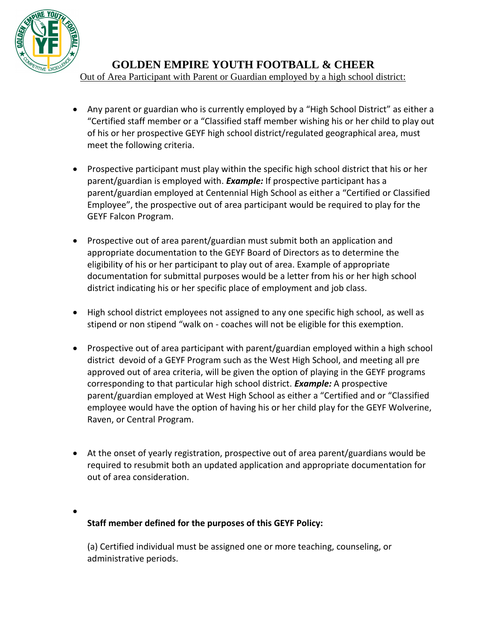

**GOLDEN EMPIRE YOUTH FOOTBALL & CHEER**

Out of Area Participant with Parent or Guardian employed by a high school district:

- Any parent or guardian who is currently employed by a "High School District" as either a "Certified staff member or a "Classified staff member wishing his or her child to play out of his or her prospective GEYF high school district/regulated geographical area, must meet the following criteria.
- Prospective participant must play within the specific high school district that his or her parent/guardian is employed with. *Example:* If prospective participant has a parent/guardian employed at Centennial High School as either a "Certified or Classified Employee", the prospective out of area participant would be required to play for the GEYF Falcon Program.
- Prospective out of area parent/guardian must submit both an application and appropriate documentation to the GEYF Board of Directors as to determine the eligibility of his or her participant to play out of area. Example of appropriate documentation for submittal purposes would be a letter from his or her high school district indicating his or her specific place of employment and job class.
- High school district employees not assigned to any one specific high school, as well as stipend or non stipend "walk on - coaches will not be eligible for this exemption.
- Prospective out of area participant with parent/guardian employed within a high school district devoid of a GEYF Program such as the West High School, and meeting all pre approved out of area criteria, will be given the option of playing in the GEYF programs corresponding to that particular high school district. *Example:* A prospective parent/guardian employed at West High School as either a "Certified and or "Classified employee would have the option of having his or her child play for the GEYF Wolverine, Raven, or Central Program.
- At the onset of yearly registration, prospective out of area parent/guardians would be required to resubmit both an updated application and appropriate documentation for out of area consideration.
- $\bullet$ **Staff member defined for the purposes of this GEYF Policy:**

(a) Certified individual must be assigned one or more teaching, counseling, or administrative periods.